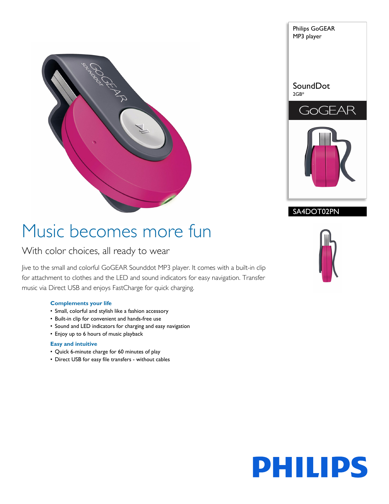



### SA4DOT02PN

# Music becomes more fun

### With color choices, all ready to wear

Jive to the small and colorful GoGEAR Sounddot MP3 player. It comes with a built-in clip for attachment to clothes and the LED and sound indicators for easy navigation. Transfer music via Direct USB and enjoys FastCharge for quick charging.

#### **Complements your life**

- Small, colorful and stylish like a fashion accessory
- Built-in clip for convenient and hands-free use
- Sound and LED indicators for charging and easy navigation
- Enjoy up to 6 hours of music playback

#### **Easy and intuitive**

- Quick 6-minute charge for 60 minutes of play
- Direct USB for easy file transfers without cables



# **PHILIPS**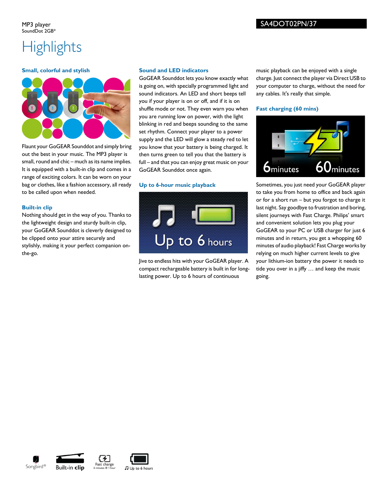## **Highlights**

#### **Small, colorful and stylish**



Flaunt your GoGEAR Sounddot and simply bring out the best in your music. The MP3 player is small, round and chic – much as its name implies. It is equipped with a built-in clip and comes in a range of exciting colors. It can be worn on your bag or clothes, like a fashion accessory, all ready to be called upon when needed.

#### **Built-in clip**

Nothing should get in the way of you. Thanks to the lightweight design and sturdy built-in clip, your GoGEAR Sounddot is cleverly designed to be clipped onto your attire securely and stylishly, making it your perfect companion onthe-go.

#### **Sound and LED indicators**

GoGEAR Sounddot lets you know exactly what is going on, with specially programmed light and sound indicators. An LED and short beeps tell you if your player is on or off, and if it is on shuffle mode or not. They even warn you when you are running low on power, with the light blinking in red and beeps sounding to the same set rhythm. Connect your player to a power supply and the LED will glow a steady red to let you know that your battery is being charged. It then turns green to tell you that the battery is full – and that you can enjoy great music on your GoGEAR Sounddot once again.

#### **Up to 6-hour music playback**



Jive to endless hits with your GoGEAR player. A compact rechargeable battery is built in for longlasting power. Up to 6 hours of continuous

music playback can be enjoyed with a single charge. Just connect the player via Direct USB to your computer to charge, without the need for any cables. It's really that simple.

#### **Fast charging (60 mins)**



Sometimes, you just need your GoGEAR player to take you from home to office and back again or for a short run – but you forgot to charge it last night. Say goodbye to frustration and boring, silent journeys with Fast Charge. Philips' smart and convenient solution lets you plug your GoGEAR to your PC or USB charger for just 6 minutes and in return, you get a whopping 60 minutes of audio playback! Fast Charge works by relying on much higher current levels to give your lithium-ion battery the power it needs to tide you over in a jiffy … and keep the music going.